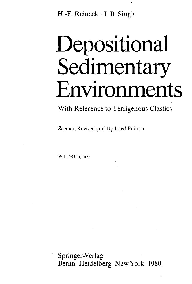H.-E. Reineck • I. B. Singh

# Depositional Sedimentary Environments

With Reference to Terrigenous Clastics

Second, Revised and Updated Edition

With 683 Figures

Springer-Verlag Berlin Heidelberg New York 1980,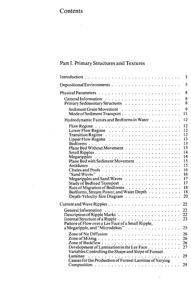## **Contents**

 $\sim$ 

 $\bar{z}$ 

## Part I. Primary Structures and Textures

|                                                                                                                                                                                                                                                                  | 3                                                                                                  |
|------------------------------------------------------------------------------------------------------------------------------------------------------------------------------------------------------------------------------------------------------------------|----------------------------------------------------------------------------------------------------|
|                                                                                                                                                                                                                                                                  | 5                                                                                                  |
|                                                                                                                                                                                                                                                                  | 8                                                                                                  |
|                                                                                                                                                                                                                                                                  | 8<br>8                                                                                             |
|                                                                                                                                                                                                                                                                  | $\mathbf{Q}$<br>11                                                                                 |
| Hydrodynamic Factors and Bedforms in Water                                                                                                                                                                                                                       | 12                                                                                                 |
| Flow Regime<br>Lower Flow Regime<br>Lower Flow Regime<br>Plane Bed Without Movement<br>Plane Bed with Sediment Movement<br>Megaripples and Sand Waves<br>Rate of Migration of Bedforms<br>Bedforms, Stream Power, and Water Depth<br>Depth-Velocity-Size Diagram | 12<br>12<br>12<br>13<br>13<br>13<br>14<br>14<br>15<br>15<br>16<br>16<br>17<br>17<br>18<br>18<br>20 |
|                                                                                                                                                                                                                                                                  | 22                                                                                                 |
| Pattern of Flow over a Lee Face of a Small Ripple,<br>a Megaripple, and "Microdeltas"                                                                                                                                                                            | 22<br>22<br>23<br>25                                                                               |
| Zone of Mixing $\ldots \ldots \ldots \ldots \ldots \ldots \ldots \ldots \ldots$<br>Development of Lamination in the Lee Face                                                                                                                                     | 26<br>26<br>26<br>27                                                                               |
| Variables Controlling the Shape and Slope of Foreset<br>Laminae<br>Causes for the Production of Foreset Laminae of Varying                                                                                                                                       | 29                                                                                                 |
|                                                                                                                                                                                                                                                                  | 29                                                                                                 |

Ñ,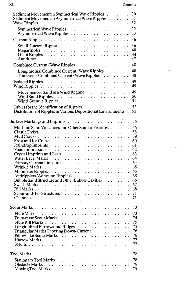$\bar{z}$ 

| Sediment Movement in Symmetrical Wave Ripples<br>Sediment Movement in Asymmetrical Wave Ripples<br>Wave Ripples $\ldots \ldots \ldots \ldots \ldots \ldots \ldots \ldots \ldots$ | 30<br>31<br>32       |
|----------------------------------------------------------------------------------------------------------------------------------------------------------------------------------|----------------------|
|                                                                                                                                                                                  | 32<br>33             |
|                                                                                                                                                                                  | 36                   |
|                                                                                                                                                                                  | 36<br>40<br>44<br>47 |
| Combined Current/Wave Ripples                                                                                                                                                    | 48                   |
| Longitudinal Combined Current/Wave Ripples<br>Transverse Combined Current/Wave Ripples                                                                                           | 48<br>48             |
|                                                                                                                                                                                  | 49<br>49             |
| Movement of Sand in a Wind Regime                                                                                                                                                | 49<br>50<br>51       |
| Tables for the Identification of Ripples<br>Distribution of Ripples in Various Depositional Environments.                                                                        | 52<br>52             |
|                                                                                                                                                                                  | 56                   |
| Mud and Sand Volcanoes and Other Similar Features                                                                                                                                | 56                   |
|                                                                                                                                                                                  | 58                   |
|                                                                                                                                                                                  | 59                   |
|                                                                                                                                                                                  | 60                   |
|                                                                                                                                                                                  | 61                   |
|                                                                                                                                                                                  | 62                   |
|                                                                                                                                                                                  | 63                   |
|                                                                                                                                                                                  | 64                   |
|                                                                                                                                                                                  | 64                   |
|                                                                                                                                                                                  | 65                   |
|                                                                                                                                                                                  | 65<br>65             |
| Antiripplets (Adhesion Ripples) $\ldots \ldots \ldots \ldots \ldots$<br>Bubble Sand Structure and Other Bubble Cavities                                                          | 66                   |
|                                                                                                                                                                                  | 67                   |
|                                                                                                                                                                                  | 68                   |
|                                                                                                                                                                                  | 71                   |
| Channels                                                                                                                                                                         | 71                   |
|                                                                                                                                                                                  |                      |
|                                                                                                                                                                                  | 73                   |
|                                                                                                                                                                                  | 73                   |
|                                                                                                                                                                                  | 74                   |
|                                                                                                                                                                                  | 75                   |
| Longitudinal Furrows and Ridges                                                                                                                                                  | 75                   |
| Triangular Marks Tapering Down-Current                                                                                                                                           | 76                   |
|                                                                                                                                                                                  | 76                   |
| Harrow Marks                                                                                                                                                                     | 77<br>77             |
|                                                                                                                                                                                  |                      |
|                                                                                                                                                                                  | 78                   |
|                                                                                                                                                                                  | 78                   |
|                                                                                                                                                                                  | 78                   |
|                                                                                                                                                                                  | 79                   |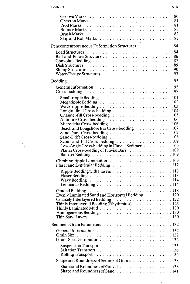|                                                                                              | 80       |
|----------------------------------------------------------------------------------------------|----------|
|                                                                                              | 81       |
|                                                                                              | 81<br>82 |
|                                                                                              | 82       |
|                                                                                              | 82       |
|                                                                                              |          |
| Penecontemporaneous Deformation Structures                                                   | 84       |
|                                                                                              | 84       |
| Ball-and-Pillow Structure                                                                    | 86       |
|                                                                                              | 87<br>89 |
|                                                                                              | 90       |
|                                                                                              | 93       |
|                                                                                              | 95       |
|                                                                                              |          |
| $Cross\text{-}bedding \dots \dots \dots \dots \dots \dots \dots \dots \dots \dots$           | 95<br>97 |
|                                                                                              |          |
| Small-ripple Bedding $\ldots \ldots \ldots \ldots \ldots \ldots \ldots \ldots 101$           |          |
|                                                                                              |          |
|                                                                                              |          |
|                                                                                              |          |
|                                                                                              |          |
|                                                                                              |          |
| Beach and Longshore Bar Cross-bedding 107                                                    |          |
| Sand Dune Cross-bedding $\ldots \ldots \ldots \ldots \ldots \ldots \ldots \ldots 107$        |          |
|                                                                                              |          |
|                                                                                              |          |
| Scour-and-Fill Cross-bedding 109                                                             |          |
| Low-Angle Cross-bedding in Fluvial Sediments 109<br>Planar Cross-bedding of Fluvial Bars 109 |          |
|                                                                                              |          |
|                                                                                              |          |
|                                                                                              |          |
|                                                                                              |          |
|                                                                                              |          |
|                                                                                              |          |
|                                                                                              |          |
| <b>Graded Bedding</b>                                                                        |          |
| Evenly Laminated Sand and Horizontal Bedding 120                                             |          |
| Coarsely Interlayered Bedding 122                                                            |          |
| Thinly Interlayered Bedding (Rhythmites) 123                                                 |          |
|                                                                                              |          |
| Thin Sand Layers $\ldots \ldots \ldots \ldots \ldots \ldots \ldots \ldots \ldots \ldots 130$ |          |
|                                                                                              |          |
|                                                                                              |          |
|                                                                                              |          |
|                                                                                              |          |
|                                                                                              |          |
| Suspension Transport $\ldots \ldots \ldots \ldots \ldots \ldots \ldots 135$                  |          |
| <b>Rolling Transport</b>                                                                     |          |
| Shape and Roundness of Sediment Grains 138                                                   |          |
| Shape and Roundness of Gravel 138<br>Shape and Roundness of Sand $\ldots$ 141                |          |

 $\hat{\mathcal{A}}$ 

 $\mathbf{v}_1$ 

 $\hat{\mathcal{A}}$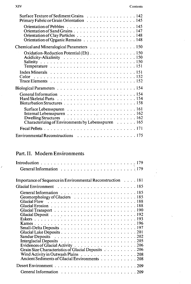| Surface Texture of Sediment Grains 142<br>Primary Fabric or Grain Orientation 145                                                                                                                                                                      |
|--------------------------------------------------------------------------------------------------------------------------------------------------------------------------------------------------------------------------------------------------------|
| Orientation of Organic Remains 148                                                                                                                                                                                                                     |
| Chemical and Mineralogical Parameters 150                                                                                                                                                                                                              |
| Oxidation-Reduction Potential (Eh) 150<br>Temperature $\ldots \ldots \ldots \ldots \ldots \ldots \ldots \ldots \ldots 151$                                                                                                                             |
| Index Minerals $\ldots \ldots \ldots \ldots \ldots \ldots \ldots \ldots \ldots$<br>Color.<br>Trace Elements $\ldots \ldots \ldots \ldots \ldots \ldots \ldots \ldots \ldots \ldots 152$                                                                |
|                                                                                                                                                                                                                                                        |
|                                                                                                                                                                                                                                                        |
| Internal Lebensspuren $\dots \dots \dots \dots \dots \dots \dots \dots \dots \dots \dots 162$<br>Dwelling Structures $\ldots \ldots \ldots \ldots \ldots \ldots \ldots \ldots 162$<br>Characterizing of Environments by Lebensspuren $\dots \dots 165$ |
|                                                                                                                                                                                                                                                        |
| Environmental Reconstructions 175                                                                                                                                                                                                                      |

# Part. II. Modern Environments

| Importance of Sequence in Environmental Reconstruction 181                                                                                                                             |
|----------------------------------------------------------------------------------------------------------------------------------------------------------------------------------------|
|                                                                                                                                                                                        |
| General Information $\ldots \ldots \ldots \ldots \ldots \ldots \ldots \ldots \ldots 185$<br>Interglacial Deposits $\ldots \ldots \ldots \ldots \ldots \ldots \ldots \ldots \ldots 205$ |
| Evidences of Glacial Activity $\ldots \ldots \ldots \ldots \ldots \ldots \ldots 206$                                                                                                   |
| Grain Size Characteristics of Glacial Deposits 206<br>Wind Activity in Outwash Plains 208<br>Ancient Sediments of Glacial Environments 208                                             |
|                                                                                                                                                                                        |
|                                                                                                                                                                                        |

 $\lambda$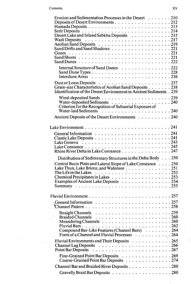$\Delta\sim 10^4$ 

 $\hat{\beta}$ 

| Erosion and Sedimentation Processes in the Desert 210<br>Deposits of Desert Environments 212<br>Desert Lake and Inland Sebkha Deposits 215<br>Sand Drifts and Sand Shadows 221<br>Internal Structure of Sand Dunes 222<br>Grain-size Characteristics of Aeolian Sand Deposits 238<br>Identification of the Desert Environment in Ancient Sediments . 239 |  |
|----------------------------------------------------------------------------------------------------------------------------------------------------------------------------------------------------------------------------------------------------------------------------------------------------------------------------------------------------------|--|
|                                                                                                                                                                                                                                                                                                                                                          |  |
|                                                                                                                                                                                                                                                                                                                                                          |  |
| Criterion for the Recognition of Subaerial Exposure of                                                                                                                                                                                                                                                                                                   |  |
|                                                                                                                                                                                                                                                                                                                                                          |  |
| Ancient Deposits of the Desert Environments 240                                                                                                                                                                                                                                                                                                          |  |
|                                                                                                                                                                                                                                                                                                                                                          |  |
|                                                                                                                                                                                                                                                                                                                                                          |  |
|                                                                                                                                                                                                                                                                                                                                                          |  |
|                                                                                                                                                                                                                                                                                                                                                          |  |
|                                                                                                                                                                                                                                                                                                                                                          |  |
|                                                                                                                                                                                                                                                                                                                                                          |  |
|                                                                                                                                                                                                                                                                                                                                                          |  |
| Rhine River Delta in Lake Constance 247                                                                                                                                                                                                                                                                                                                  |  |
|                                                                                                                                                                                                                                                                                                                                                          |  |
| Distribution of Sedimentary Structures in the Delta Body 250                                                                                                                                                                                                                                                                                             |  |
| Central Basin Plain and Lateral Slope of Lake Constance 250                                                                                                                                                                                                                                                                                              |  |
| Lake Thun, Lake Brienz, and Walensee \ 251                                                                                                                                                                                                                                                                                                               |  |
| The Life in the Lakes $\ldots \ldots \ldots \ldots$                                                                                                                                                                                                                                                                                                      |  |
| Examples of Ancient Lake Deposits 254                                                                                                                                                                                                                                                                                                                    |  |
|                                                                                                                                                                                                                                                                                                                                                          |  |
|                                                                                                                                                                                                                                                                                                                                                          |  |
|                                                                                                                                                                                                                                                                                                                                                          |  |
|                                                                                                                                                                                                                                                                                                                                                          |  |
| Channel Pattern $\ldots \ldots \ldots \ldots \ldots \ldots \ldots \ldots \ldots 258$                                                                                                                                                                                                                                                                     |  |
|                                                                                                                                                                                                                                                                                                                                                          |  |
| <b>Braided Channels</b>                                                                                                                                                                                                                                                                                                                                  |  |
|                                                                                                                                                                                                                                                                                                                                                          |  |
|                                                                                                                                                                                                                                                                                                                                                          |  |
| Compound Bar-Like Features (Channel Bars) 264                                                                                                                                                                                                                                                                                                            |  |
| Form of a Channel and Fluvial Processes 264                                                                                                                                                                                                                                                                                                              |  |
|                                                                                                                                                                                                                                                                                                                                                          |  |
| Fluvial Environments and Their Deposits 265                                                                                                                                                                                                                                                                                                              |  |
| Channel Lag Deposits<br>Point Bar Deposits<br>Context Bar Deposits                                                                                                                                                                                                                                                                                       |  |
|                                                                                                                                                                                                                                                                                                                                                          |  |
| Fine-Grained Point Bar Deposits 269<br>Coarse-Grained Point Bar Deposits 274                                                                                                                                                                                                                                                                             |  |
|                                                                                                                                                                                                                                                                                                                                                          |  |
| Channel Bar and Braided River Deposits 280                                                                                                                                                                                                                                                                                                               |  |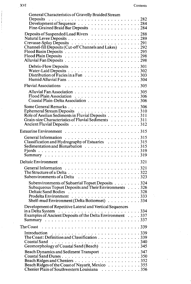| General Characteristics of Gravelly Braided Stream<br>Deposits<br>Development of Sequence<br>$\ldots$ , $\ldots$ , $\ldots$ , $\ldots$ , $\ldots$ , $282$<br>Development of Sequence<br>Fine-Grained Braid Bar Deposits 284 |  |
|-----------------------------------------------------------------------------------------------------------------------------------------------------------------------------------------------------------------------------|--|
| Deposits of Suspended Load Rivers 288<br>Channel-fill Deposits (Cut-off Channels and Lakes) 292                                                                                                                             |  |
| Distribution of Facies in a Fan 303                                                                                                                                                                                         |  |
|                                                                                                                                                                                                                             |  |
| Coastal Plain-Delta Association 306                                                                                                                                                                                         |  |
| Role of Aeolian Sediments in Fluvial Deposits 311<br>Grain-size Characteristics of Fluvial Sediments 311                                                                                                                    |  |
| Estuarine Environment $\ldots \ldots \ldots \ldots \ldots \ldots \ldots \ldots$                                                                                                                                             |  |
| Classification and Hydrography of Estuaries 315<br>Sedimentation and Bioturbation 315                                                                                                                                       |  |
| Deltaic Environment $\ldots \ldots \ldots \ldots \ldots \ldots \ldots \ldots \ldots 321$                                                                                                                                    |  |
| Subenvironments of a Delta $\ldots \ldots \ldots \ldots \ldots \ldots \ldots$ 323                                                                                                                                           |  |
| Subenvironments of Subaerial Topset Deposits 324<br>Subaqueous Topset Deposits and Their Environments 326<br>Deltaic Sand Bodies 328<br>Prodelta Environment $\ldots$ , 333<br>Shelf-mud Environment (Delta Bottomset) 334  |  |
| Development of Repetitive Lateral and Vertical Sequences<br>in a Delta System $\ldots \ldots \ldots \ldots \ldots \ldots \ldots \ldots \ldots \ldots$ 334<br>Examples of Ancient Deposits of the Delta Environment 337      |  |
| The Coast $\dots \dots \dots \dots \dots \dots \dots \dots \dots \dots \dots \dots \dots 339$                                                                                                                               |  |
| Introduction<br>The Coast: Definition and Classification<br>$\ldots \ldots \ldots \ldots \ldots \ldots$ 339<br>Geomorphology of Coastal Sand (Beach) 345                                                                    |  |
| Beach Dynamics and Sediment Transport 347<br>Coastal Sand Dunes350<br>Beach Ridges of the Coast of Nayarit, Mexico 355                                                                                                      |  |
| Chenier Plain of Southwestern Louisiana 356                                                                                                                                                                                 |  |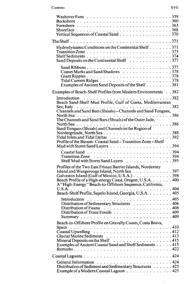#### Contents XVII

 $\mathcal{L}^{\text{max}}_{\text{max}}$ 

| Washover Fans $\ldots \ldots \ldots \ldots \ldots \ldots \ldots \ldots \ldots$<br>Vertical Sequences of Coastal Sand 370                                                                                                            |  |
|-------------------------------------------------------------------------------------------------------------------------------------------------------------------------------------------------------------------------------------|--|
|                                                                                                                                                                                                                                     |  |
| Hydrodynamic Conditions on the Continental Shelf 371<br>Transition Zone $\ldots \ldots \ldots \ldots \ldots \ldots \ldots \ldots \ldots \ldots 373$<br>Sand Deposits on the Continental Shelf 377                                   |  |
| Sand Ribbons377<br>Comet Marks and Sand Shadows 378<br>Examples of Ancient Sand Deposits of the Shelf 381                                                                                                                           |  |
| Examples of Beach-Shelf Profiles from Modern Environments 382                                                                                                                                                                       |  |
|                                                                                                                                                                                                                                     |  |
| Beach Sand-Shelf Mud Profile, Gulf of Gaeta, Mediterranean<br>Sea, Italy $\ldots \ldots \ldots \ldots \ldots \ldots \ldots \ldots \ldots \ldots \ldots \ldots 382$                                                                  |  |
| Channels and Sand Bars (Shoals) - Channels and Sand Tongues,                                                                                                                                                                        |  |
| North Sea $\ldots \ldots \ldots \ldots \ldots \ldots \ldots \ldots \ldots \ldots \ldots$<br>The Channels and Sand Bars (Shoals) of the Outer Jade,                                                                                  |  |
| Sand Tongues (Shoals) and Channels in the Region of                                                                                                                                                                                 |  |
| Nordergründe, North Sea388<br>Profile of the Büsum: Coastal Sand - Transition Zone - Shelf                                                                                                                                          |  |
|                                                                                                                                                                                                                                     |  |
| Shelf Mud with Storm Sand Layers 395                                                                                                                                                                                                |  |
| Profiles of the Two East Frisian Barrier Islands, Norderney<br>Galveston Island (Gulf of Mexico, U.S.A.) 398<br>Beach Profile of a High-energy Coast, Oregon, U.S.A. 400<br>A "High-Energy" Beach-to-Offshore Sequence, California, |  |
| Beach-Shelf Profile, Sapelo Island, Georgia, U.S.A. 405                                                                                                                                                                             |  |
| Distribution of Sedimentary Structures 406<br>Distribution of Trace Fossils 409                                                                                                                                                     |  |
| Beach-to-Offshore Profile on Gravelly Coasts, Costa Brava,                                                                                                                                                                          |  |
| $\hat{\text{Coastal Upwelling}}$ 412<br>Examples of Ancient Coastal Sand and Shelf Sediments 415                                                                                                                                    |  |
|                                                                                                                                                                                                                                     |  |
| Distribution of Sediment and Sedimentary Structures 425<br>Example of a Modern Coastal Lagoon 425                                                                                                                                   |  |
|                                                                                                                                                                                                                                     |  |

 $\mathcal{S}_1$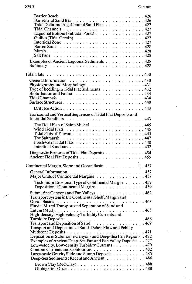| Tidal Delta and Algal-bound Sand Flats 427                                                                          |  |
|---------------------------------------------------------------------------------------------------------------------|--|
| Lagoonal Bottom (Subtidal Pond) 427                                                                                 |  |
|                                                                                                                     |  |
|                                                                                                                     |  |
|                                                                                                                     |  |
| Marsh428                                                                                                            |  |
|                                                                                                                     |  |
| Examples of Ancient Lagoonal Sediments 428                                                                          |  |
|                                                                                                                     |  |
|                                                                                                                     |  |
| Tidal Flats $\ldots \ldots \ldots \ldots \ldots \ldots \ldots \ldots \ldots \ldots \ldots$                          |  |
|                                                                                                                     |  |
| Physiography and Morphology. 431                                                                                    |  |
| Type of Bedding in Tidal Flat Sediments 432                                                                         |  |
|                                                                                                                     |  |
|                                                                                                                     |  |
|                                                                                                                     |  |
|                                                                                                                     |  |
|                                                                                                                     |  |
| Horizontal and Vertical Sequences of Tidal Flat Deposits and                                                        |  |
|                                                                                                                     |  |
| The Tidal Flats of Saint-Michel $\ldots \ldots \ldots \ldots \ldots \ldots$                                         |  |
|                                                                                                                     |  |
|                                                                                                                     |  |
| The Saltmarsh $\ldots \ldots \ldots \ldots \ldots \ldots \ldots \ldots \ldots$                                      |  |
|                                                                                                                     |  |
|                                                                                                                     |  |
| Diagnostic Features of Tidal Flat Deposits 454                                                                      |  |
|                                                                                                                     |  |
| Continental Margin, Slope and Ocean Basin 457                                                                       |  |
|                                                                                                                     |  |
| General Information<br>Major Units of Continental Margins<br>$\ldots \ldots \ldots \ldots \ldots \ldots \ldots 457$ |  |
|                                                                                                                     |  |
| Tectonic or Erosional Type of Continental Margin 459                                                                |  |
| Depositional Continental Margins 459                                                                                |  |
| Submarine Canyons and Fan Valleys $\ldots$ 462                                                                      |  |
| Transport System in the Continental Shelf, Margin and                                                               |  |
| Ocean Basins $\ldots \ldots \ldots \ldots \ldots \ldots \ldots \ldots \ldots \ldots \ldots$                         |  |
| Fluvial Mixed Transport and Separation of Sand and                                                                  |  |
|                                                                                                                     |  |
|                                                                                                                     |  |
| Turbidite Deposits<br>Transport and Deposition of Sand<br>Note: All Allen No. 1999                                  |  |
| Tansport and Deposition of Sand-Debris Flow and Pebbly                                                              |  |
|                                                                                                                     |  |
| Deposition in Submarine Canyons and Deep-Sea Fan Regions . 472                                                      |  |
| Examples of Ancient Deep-Sea Fan and Fan Valley Deposits 477                                                        |  |
| Low-velocity, Low-density Turbidity Currents 479                                                                    |  |
| Contour Currents and Contourites 482                                                                                |  |
| Large-scale Gravity Slide and Slump Deposits 485                                                                    |  |
| Deep-Sea Sediments: Recent and Ancient 486                                                                          |  |
|                                                                                                                     |  |
|                                                                                                                     |  |